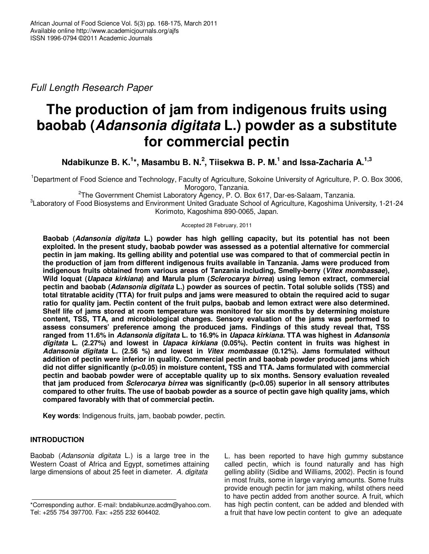Full Length Research Paper

# **The production of jam from indigenous fruits using baobab (Adansonia digitata L.) powder as a substitute for commercial pectin**

**Ndabikunze B. K.<sup>1</sup> \*, Masambu B. N.<sup>2</sup> , Tiisekwa B. P. M.<sup>1</sup> and Issa-Zacharia A.1,3** 

<sup>1</sup>Department of Food Science and Technology, Faculty of Agriculture, Sokoine University of Agriculture, P. O. Box 3006, Morogoro, Tanzania.

<sup>2</sup>The Government Chemist Laboratory Agency, P. O. Box 617, Dar-es-Salaam, Tanzania.

3 Laboratory of Food Biosystems and Environment United Graduate School of Agriculture, Kagoshima University, 1-21-24 Korimoto, Kagoshima 890-0065, Japan.

Accepted 28 February, 2011

**Baobab (Adansonia digitata L.) powder has high gelling capacity, but its potential has not been exploited. In the present study, baobab powder was assessed as a potential alternative for commercial pectin in jam making. Its gelling ability and potential use was compared to that of commercial pectin in the production of jam from different indigenous fruits available in Tanzania. Jams were produced from indigenous fruits obtained from various areas of Tanzania including, Smelly-berry (Vitex mombassae), Wild loquat (Uapaca kirkiana) and Marula plum (Sclerocarya birrea) using lemon extract, commercial pectin and baobab (Adansonia digitata L.) powder as sources of pectin. Total soluble solids (TSS) and total titratable acidity (TTA) for fruit pulps and jams were measured to obtain the required acid to sugar ratio for quality jam. Pectin content of the fruit pulps, baobab and lemon extract were also determined. Shelf life of jams stored at room temperature was monitored for six months by determining moisture content, TSS, TTA, and microbiological changes. Sensory evaluation of the jams was performed to assess consumers' preference among the produced jams. Findings of this study reveal that, TSS ranged from 11.6% in Adansonia digitata L. to 16.9% in Uapaca kirkiana. TTA was highest in Adansonia digitata L. (2.27%) and lowest in Uapaca kirkiana (0.05%). Pectin content in fruits was highest in Adansonia digitata L. (2.56 %) and lowest in Vitex mombassae (0.12%). Jams formulated without addition of pectin were inferior in quality. Commercial pectin and baobab powder produced jams which did not differ significantly (p<0.05) in moisture content, TSS and TTA. Jams formulated with commercial pectin and baobab powder were of acceptable quality up to six months. Sensory evaluation revealed that jam produced from Sclerocarya birrea was significantly (p<0.05) superior in all sensory attributes compared to other fruits. The use of baobab powder as a source of pectin gave high quality jams, which compared favorably with that of commercial pectin.** 

**Key words**: Indigenous fruits, jam, baobab powder, pectin.

# **INTRODUCTION**

Baobab (Adansonia digitata L.) is a large tree in the Western Coast of Africa and Egypt, sometimes attaining large dimensions of about 25 feet in diameter. A. digitata

L. has been reported to have high gummy substance called pectin, which is found naturally and has high gelling ability (Sidibe and Williams, 2002). Pectin is found in most fruits, some in large varying amounts. Some fruits provide enough pectin for jam making, whilst others need to have pectin added from another source. A fruit, which has high pectin content, can be added and blended with a fruit that have low pectin content to give an adequate

<sup>\*</sup>Corresponding author. E-mail: bndabikunze.acdm@yahoo.com. Tel: +255 754 397700. Fax: +255 232 604402.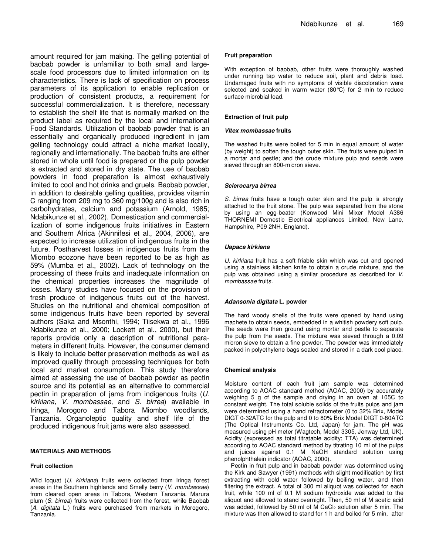amount required for jam making. The gelling potential of baobab powder is unfamiliar to both small and largescale food processors due to limited information on its characteristics. There is lack of specification on process parameters of its application to enable replication or production of consistent products, a requirement for successful commercialization. It is therefore, necessary to establish the shelf life that is normally marked on the product label as required by the local and international Food Standards. Utilization of baobab powder that is an essentially and organically produced ingredient in jam gelling technology could attract a niche market locally, regionally and internationally. The baobab fruits are either stored in whole until food is prepared or the pulp powder is extracted and stored in dry state. The use of baobab powders in food preparation is almost exhaustively limited to cool and hot drinks and gruels. Baobab powder, in addition to desirable gelling qualities, provides vitamin C ranging from 209 mg to 360 mg/100g and is also rich in carbohydrates, calcium and potassium (Arnold, 1985; Ndabikunze et al., 2002). Domestication and commerciallization of some indigenous fruits initiatives in Eastern and Southern Africa (Akinnifesi et al., 2004, 2006), are expected to increase utilization of indigenous fruits in the future. Postharvest losses in indigenous fruits from the Miombo ecozone have been reported to be as high as 59% (Mumba et al., 2002). Lack of technology on the processing of these fruits and inadequate information on the chemical properties increases the magnitude of losses. Many studies have focused on the provision of fresh produce of indigenous fruits out of the harvest. Studies on the nutritional and chemical composition of some indigenous fruits have been reported by several authors (Saka and Msonthi, 1994; Tiisekwa et al., 1996 Ndabikunze et al., 2000; Lockett et al., 2000), but their reports provide only a description of nutritional parameters in different fruits. However, the consumer demand is likely to include better preservation methods as well as improved quality through processing techniques for both local and market consumption. This study therefore aimed at assessing the use of baobab powder as pectin source and its potential as an alternative to commercial pectin in preparation of jams from indigenous fruits (U. kirkiana, V. mombassae, and S. birrea) available in Iringa, Morogoro and Tabora Miombo woodlands, Tanzania. Organoleptic quality and shelf life of the produced indigenous fruit jams were also assessed.

## **MATERIALS AND METHODS**

## **Fruit collection**

Wild loquat (U. kirkiana) fruits were collected from Iringa forest areas in the Southern highlands and Smelly berry (V. mombassae) from cleared open areas in Tabora, Western Tanzania. Marura plum (S. birrea) fruits were collected from the forest, while Baobab (A. digitata L.) fruits were purchased from markets in Morogoro, Tanzania.

## **Fruit preparation**

With exception of baobab, other fruits were thoroughly washed under running tap water to reduce soil, plant and debris load. Undamaged fruits with no symptoms of visible discoloration were selected and soaked in warm water (80°C) for 2 min to reduce surface microbial load.

#### **Extraction of fruit pulp**

#### **Vitex mombassae fruits**

The washed fruits were boiled for 5 min in equal amount of water (by weight) to soften the tough outer skin. The fruits were pulped in a mortar and pestle; and the crude mixture pulp and seeds were sieved through an 800-micron sieve.

#### **Sclerocarya birrea**

S. birrea fruits have a tough outer skin and the pulp is strongly attached to the fruit stone. The pulp was separated from the stone by using an egg-beater (Kenwood Mini Mixer Model A386 THORNEMI Domestic Electrical appliances Limited, New Lane, Hampshire, P09 2NH. England).

## **Uapaca kirkiana**

U. kirkiana fruit has a soft friable skin which was cut and opened using a stainless kitchen knife to obtain a crude mixture, and the pulp was obtained using a similar procedure as described for V. mombassae fruits.

## **Adansonia digitata L. powder**

The hard woody shells of the fruits were opened by hand using machete to obtain seeds, embedded in a whitish powdery soft pulp. The seeds were then ground using mortar and pestle to separate the pulp from the seeds. The mixture was sieved through a 0.09 micron sieve to obtain a fine powder. The powder was immediately packed in polyethylene bags sealed and stored in a dark cool place.

## **Chemical analysis**

Moisture content of each fruit jam sample was determined according to AOAC standard method (AOAC, 2000) by accurately weighing 5 g of the sample and drying in an oven at 105C to constant weight. The total soluble solids of the fruits pulps and jam were determined using a hand refractometer (0 to 32% Brix, Model DIGT 0-32ATC for the pulp and 0 to 80% Brix Model DIGT 0-80ATC (The Optical Instruments Co. Ltd, Japan) for jam. The pH was measured using pH meter (Wagtech, Model 3305, Jenway Ltd, UK). Acidity (expressed as total titratable acidity; TTA) was determined according to AOAC standard method by titrating 10 ml of the pulps and juices against 0.1 M NaOH standard solution using phenolphthalein indicator (AOAC, 2000).

Pectin in fruit pulp and in baobab powder was determined using the Kirk and Sawyer (1991) methods with slight modification by first extracting with cold water followed by boiling water, and then filtering the extract. A total of 300 ml aliquot was collected for each fruit, while 100 ml of 0.1 M sodium hydroxide was added to the aliquot and allowed to stand overnight. Then, 50 ml of M acetic acid was added, followed by 50 ml of M CaCl<sub>2</sub> solution after 5 min. The mixture was then allowed to stand for 1 h and boiled for 5 min, after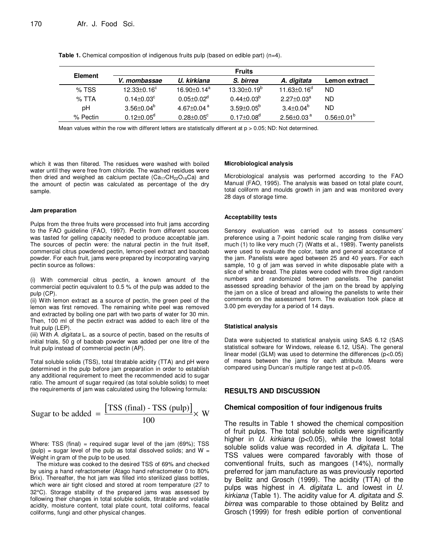| <b>Element</b> |                              |                               | <b>Fruits</b>            |                              |                         |
|----------------|------------------------------|-------------------------------|--------------------------|------------------------------|-------------------------|
|                | V. mombassae                 | U. kirkiana                   | S. birrea                | A. digitata                  | Lemon extract           |
| $%$ TSS        | $12.33 \pm 0.16^{\circ}$     | $16.90 \pm 0.14$ <sup>a</sup> | $13.30 \pm 0.19^{\circ}$ | $11.63 \pm 0.16^{\circ}$     | ND                      |
| $%$ TTA        | $0.14 \pm 0.03^\circ$        | $0.05 \pm 0.02^{\mathsf{d}}$  | $0.44 \pm 0.03^b$        | $2.27 + 0.03a$               | ND.                     |
| рH             | $3.56 \pm 0.04^\mathrm{b}$   | 4.67 $\pm$ 0.04 $a$           | $3.59 \pm 0.05^{\circ}$  | $3.4 \pm 0.04^b$             | ND                      |
| % Pectin       | $0.12 \pm 0.05$ <sup>d</sup> | $0.28 \pm 0.05$ <sup>c</sup>  | $0.17 \pm 0.08^d$        | $2.56 \pm 0.03$ <sup>a</sup> | $0.56 \pm 0.01^{\circ}$ |

**Table 1.** Chemical composition of indigenous fruits pulp (based on edible part) (n=4).

Mean values within the row with different letters are statistically different at  $p > 0.05$ ; ND: Not determined.

which it was then filtered. The residues were washed with boiled water until they were free from chloride. The washed residues were then dried and weighed as calcium pectate  $(Ca_{17}CH_{22}O_{16}Ca)$  and the amount of pectin was calculated as percentage of the dry sample.

#### **Jam preparation**

Pulps from the three fruits were processed into fruit jams according to the FAO guideline (FAO, 1997). Pectin from different sources was tasted for gelling capacity needed to produce acceptable jam. The sources of pectin were: the natural pectin in the fruit itself, commercial citrus powdered pectin, lemon-peel extract and baobab powder. For each fruit, jams were prepared by incorporating varying pectin source as follows:

(i) With commercial citrus pectin, a known amount of the commercial pectin equivalent to 0.5 % of the pulp was added to the pulp (CP).

(ii) With lemon extract as a source of pectin, the green peel of the lemon was first removed. The remaining white peel was removed and extracted by boiling one part with two parts of water for 30 min. Then, 100 ml of the pectin extract was added to each litre of the fruit pulp (LEP).

(iii) With A. digitata L. as a source of pectin, based on the results of initial trials, 50 g of baobab powder was added per one litre of the fruit pulp instead of commercial pectin (AP).

Total soluble solids (TSS), total titratable acidity (TTA) and pH were determined in the pulp before jam preparation in order to establish any additional requirement to meet the recommended acid to sugar ratio. The amount of sugar required (as total soluble solids) to meet the requirements of jam was calculated using the following formula:

Sugar to be added = 
$$
\frac{[\text{TSS (final) - TSS (pulp)]}}{100} \times W
$$

Where: TSS (final) = required sugar level of the jam  $(69\%)$ ; TSS (pulp) = sugar level of the pulp as total dissolved solids; and  $W =$ Weight in gram of the pulp to be used.

The mixture was cooked to the desired TSS of 69% and checked by using a hand refractometer (Atago hand refractometer 0 to 80% Brix). Thereafter, the hot jam was filled into sterilized glass bottles, which were air tight closed and stored at room temperature (27 to 32°C). Storage stability of the prepared jams was assessed by following their changes in total soluble solids, titratable and volatile acidity, moisture content, total plate count, total coliforms, feacal coliforms, fungi and other physical changes.

#### **Microbiological analysis**

Microbiological analysis was performed according to the FAO Manual (FAO, 1995). The analysis was based on total plate count, total coliform and moulds growth in jam and was monitored every 28 days of storage time.

#### **Acceptability tests**

Sensory evaluation was carried out to assess consumers' preference using a 7-point hedonic scale ranging from dislike very much (1) to like very much (7) (Watts et al., 1989). Twenty panelists were used to evaluate the color, taste and general acceptance of the jam. Panelists were aged between 25 and 40 years. For each sample, 10 g of jam was served in white disposable plate with a slice of white bread. The plates were coded with three digit random numbers and randomized between panelists. The panelist assessed spreading behavior of the jam on the bread by applying the jam on a slice of bread and allowing the panelists to write their comments on the assessment form. The evaluation took place at 3.00 pm everyday for a period of 14 days.

#### **Statistical analysis**

Data were subjected to statistical analysis using SAS 6.12 (SAS statistical software for Windows, release 6.12, USA). The general linear model (GLM) was used to determine the differences (p<0.05) of means between the jams for each attribute. Means were compared using Duncan's multiple range test at p<0.05.

## **RESULTS AND DISCUSSION**

## **Chemical composition of four indigenous fruits**

The results in Table 1 showed the chemical composition of fruit pulps. The total soluble solids were significantly higher in  $U$ . kirkiana ( $p<0.05$ ), while the lowest total soluble solids value was recorded in A. digitata L. The TSS values were compared favorably with those of conventional fruits, such as mangoes (14%), normally preferred for jam manufacture as was previously reported by Belitz and Grosch (1999). The acidity (TTA) of the pulps was highest in A. digitata L. and lowest in U. kirkiana (Table 1). The acidity value for A. digitata and S. birrea was comparable to those obtained by Belitz and Grosch (1999) for fresh edible portion of conventional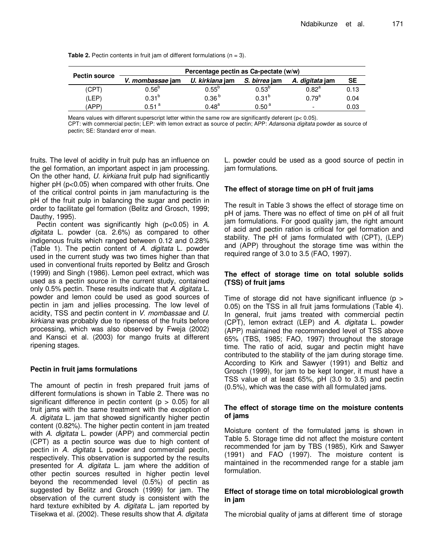|                      | Percentage pectin as Ca-pectate (w/w) |                   |                   |                        |           |  |  |
|----------------------|---------------------------------------|-------------------|-------------------|------------------------|-----------|--|--|
| <b>Pectin source</b> | V. mombassae jam                      | U. kirkiana jam   | S. birrea jam     | A. <i>digitata</i> jam | <b>SE</b> |  |  |
| (CPT)                | $0.56^{b}$                            | $0.55^{b}$        | $0.53^{b}$        | $0.82^{a}$             | 0.13      |  |  |
| (LEP)                | $0.31^{b}$                            | 0.36 <sup>b</sup> | $0.31^{b}$        | $0.79^{a}$             | 0.04      |  |  |
| <b>APP</b> )         | 0.51 <sup>a</sup>                     | $0.48^{a}$        | 0.50 <sup>a</sup> | -                      | 0.03      |  |  |

**Table 2.** Pectin contents in fruit jam of different formulations  $(n = 3)$ .

Means values with different superscript letter within the same row are significantly deferent (p< 0.05).

CPT: with commercial pectin; LEP: with lemon extract as source of pectin; APP: Adansonia digitata powder as source of pectin; SE: Standard error of mean.

fruits. The level of acidity in fruit pulp has an influence on the gel formation, an important aspect in jam processing. On the other hand, U. kirkiana fruit pulp had significantly higher pH (p<0.05) when compared with other fruits. One of the critical control points in jam manufacturing is the pH of the fruit pulp in balancing the sugar and pectin in order to facilitate gel formation (Belitz and Grosch, 1999; Dauthy, 1995).

Pectin content was significantly high ( $p<0.05$ ) in A. digitata L. powder (ca. 2.6%) as compared to other indigenous fruits which ranged between 0.12 and 0.28% (Table 1). The pectin content of A. digitata L. powder used in the current study was two times higher than that used in conventional fruits reported by Belitz and Grosch (1999) and Singh (1986). Lemon peel extract, which was used as a pectin source in the current study, contained only 0.5% pectin. These results indicate that A. digitata L. powder and lemon could be used as good sources of pectin in jam and jellies processing. The low level of acidity, TSS and pectin content in V. mombassae and U. kirkiana was probably due to ripeness of the fruits before processing, which was also observed by Fweja (2002) and Kansci et al. (2003) for mango fruits at different ripening stages.

# **Pectin in fruit jams formulations**

The amount of pectin in fresh prepared fruit jams of different formulations is shown in Table 2. There was no significant difference in pectin content ( $p > 0.05$ ) for all fruit jams with the same treatment with the exception of A. digitata L. jam that showed significantly higher pectin content (0.82%). The higher pectin content in jam treated with A. digitata L. powder (APP) and commercial pectin (CPT) as a pectin source was due to high content of pectin in A. digitata L powder and commercial pectin, respectively. This observation is supported by the results presented for A. digitata L. jam where the addition of other pectin sources resulted in higher pectin level beyond the recommended level (0.5%) of pectin as suggested by Belitz and Grosch (1999) for jam. The observation of the current study is consistent with the hard texture exhibited by A. digitata L. jam reported by Tiisekwa et al. (2002). These results show that A. digitata

L. powder could be used as a good source of pectin in jam formulations.

# **The effect of storage time on pH of fruit jams**

The result in Table 3 shows the effect of storage time on pH of jams. There was no effect of time on pH of all fruit jam formulations. For good quality jam, the right amount of acid and pectin ration is critical for gel formation and stability. The pH of jams formulated with (CPT), (LEP) and (APP) throughout the storage time was within the required range of 3.0 to 3.5 (FAO, 1997).

# **The effect of storage time on total soluble solids (TSS) of fruit jams**

Time of storage did not have significant influence ( $p >$ 0.05) on the TSS in all fruit jams formulations (Table 4). In general, fruit jams treated with commercial pectin (CPT), lemon extract (LEP) and A. digitata L. powder (APP) maintained the recommended level of TSS above 65% (TBS, 1985; FAO, 1997) throughout the storage time. The ratio of acid, sugar and pectin might have contributed to the stability of the jam during storage time. According to Kirk and Sawyer (1991) and Beltiz and Grosch (1999), for jam to be kept longer, it must have a TSS value of at least 65%, pH (3.0 to 3.5) and pectin (0.5%), which was the case with all formulated jams.

# **The effect of storage time on the moisture contents of jams**

Moisture content of the formulated jams is shown in Table 5. Storage time did not affect the moisture content recommended for jam by TBS (1985), Kirk and Sawyer (1991) and FAO (1997). The moisture content is maintained in the recommended range for a stable jam formulation.

# **Effect of storage time on total microbiological growth in jam**

The microbial quality of jams at different time of storage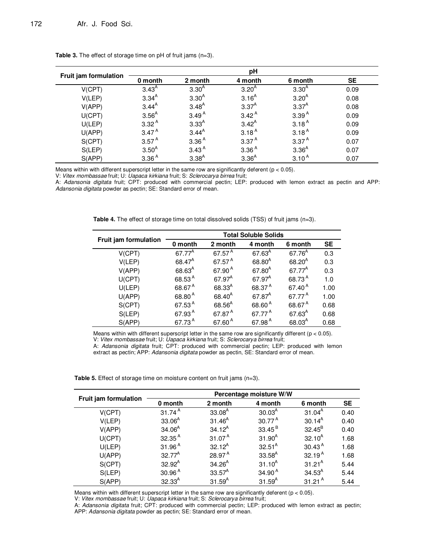|                              | рH                |                   |                   |                   |           |  |  |
|------------------------------|-------------------|-------------------|-------------------|-------------------|-----------|--|--|
| <b>Fruit jam formulation</b> | 0 month           | 2 month           | 4 month           | 6 month           | <b>SE</b> |  |  |
| V(CPT)                       | $3.43^{A}$        | $3.30^{A}$        | 3.20 <sup>A</sup> | $3.30^{A}$        | 0.09      |  |  |
| V(LEP)                       | $3.34^{A}$        | $3.30^{A}$        | $3.16^{A}$        | $3.20^{A}$        | 0.08      |  |  |
| V(APP)                       | $3.44^{A}$        | $3.48^{A}$        | $3.37^{A}$        | $3.37^{A}$        | 0.08      |  |  |
| U(CPT)                       | $3.56^{A}$        | 3.49 <sup>A</sup> | $3.42^{A}$        | 3.39 <sup>A</sup> | 0.09      |  |  |
| U(LEP)                       | 3.32 <sup>A</sup> | $3.33^{A}$        | $3.42^{A}$        | 3.18 <sup>A</sup> | 0.09      |  |  |
| $U$ (APP)                    | 3.47 <sup>A</sup> | $3.44^{A}$        | 3.18 <sup>A</sup> | 3.18 <sup>A</sup> | 0.09      |  |  |
| S(CPT)                       | 3.57 <sup>A</sup> | 3.36 <sup>A</sup> | 3.37 <sup>A</sup> | 3.37 <sup>A</sup> | 0.07      |  |  |
| S(LEP)                       | $3.50^{A}$        | 3.43 <sup>A</sup> | 3.36 <sup>A</sup> | $3.36^{A}$        | 0.07      |  |  |
| S(APP)                       | 3.36 <sup>A</sup> | $3.38^{A}$        | $3.36^{A}$        | $3.10^{A}$        | 0.07      |  |  |

**Table 3.** The effect of storage time on pH of fruit jams (n=3).

Means within with different superscript letter in the same row are significantly deferent ( $p < 0.05$ ).

V: Vitex mombassae fruit; U: Uapaca kirkiana fruit; S: Sclerocarya birrea fruit;

A: Adansonia digitata fruit; CPT: produced with commercial pectin; LEP: produced with lemon extract as pectin and APP: Adansonia digitata powder as pectin; SE: Standard error of mean.

**Table 4.** The effect of storage time on total dissolved solids (TSS) of fruit jams (n=3).

|                       | <b>Total Soluble Solids</b> |                    |                    |                    |           |  |
|-----------------------|-----------------------------|--------------------|--------------------|--------------------|-----------|--|
| Fruit jam formulation | 0 month                     | 2 month            | 4 month            | 6 month            | <b>SE</b> |  |
| V(CPT)                | 67.77 <sup>A</sup>          | 67.57 <sup>A</sup> | $67.63^{A}$        | 67.76 <sup>A</sup> | 0.3       |  |
| V(LEP)                | $68.47^A$                   | 67.57 <sup>A</sup> | $68.80^{A}$        | $68.20^{A}$        | 0.3       |  |
| V(APP)                | $68.63^{A}$                 | 67.90 <sup>A</sup> | $67.80^{A}$        | 67.77 <sup>A</sup> | 0.3       |  |
| U(CPT)                | 68.53 <sup>A</sup>          | $67.97^A$          | $67.97^A$          | 68.73 <sup>A</sup> | 1.0       |  |
| U(LEP)                | 68.67 <sup>A</sup>          | $68.33^{A}$        | 68.37 <sup>A</sup> | 67.40 <sup>A</sup> | 1.00      |  |
| U(APP)                | 68.80 <sup>A</sup>          | $68.40^{A}$        | 67.87 <sup>A</sup> | 67.77 <sup>A</sup> | 1.00      |  |
| S(CPT)                | 67.53 <sup>A</sup>          | $68.56^{A}$        | 68.60 <sup>A</sup> | 68.67 <sup>A</sup> | 0.68      |  |
| S(LEP)                | 67.93 <sup>A</sup>          | 67.87 <sup>A</sup> | 67.77 <sup>A</sup> | $67.63^{A}$        | 0.68      |  |
| S(APP)                | 67.73 <sup>A</sup>          | 67.60 <sup>A</sup> | 67.98 <sup>A</sup> | $68.03^{A}$        | 0.68      |  |

Means within with different superscript letter in the same row are significantly different ( $p < 0.05$ ). V: Vitex mombassae fruit; U: Uapaca kirkiana fruit; S: Sclerocarya birrea fruit;

A: Adansonia digitata fruit; CPT: produced with commercial pectin; LEP: produced with lemon extract as pectin; APP: Adansonia digitata powder as pectin, SE: Standard error of mean.

**Table 5.** Effect of storage time on moisture content on fruit jams (n=3).

|                       | Percentage moisture W/W |                    |                    |                    |           |  |  |
|-----------------------|-------------------------|--------------------|--------------------|--------------------|-----------|--|--|
| Fruit jam formulation | 0 month                 | 2 month            | 4 month            | 6 month            | <b>SE</b> |  |  |
| V(CPT)                | $31.74^{\text{A}}$      | $33.08^{A}$        | 30.03 <sup>A</sup> | $31.04^{A}$        | 0.40      |  |  |
| V(LEP)                | $33.06^{A}$             | $31.46^{A}$        | $30.77^{\text{A}}$ | $30.14^{A}$        | 0.40      |  |  |
| V(APP)                | $34.06^{A}$             | $34.12^A$          | $33.45^B$          | $32.45^B$          | 0.40      |  |  |
| U(CPT)                | 32.35 <sup>A</sup>      | 31.07 <sup>A</sup> | $31.90^{A}$        | $32.10^{A}$        | 1.68      |  |  |
| U(LEP)                | 31.96 <sup>A</sup>      | $32.12^{A}$        | $32.51^{A}$        | 30.43 <sup>A</sup> | 1.68      |  |  |
| $U$ (APP)             | $32.77^A$               | $28.97^{\text{A}}$ | $33.58^{A}$        | 32.19 <sup>A</sup> | 1.68      |  |  |
| S(CPT)                | $32.92^A$               | $34.26^{A}$        | $31.10^{A}$        | $31.21^A$          | 5.44      |  |  |
| S(LEP)                | 30.96 <sup>A</sup>      | $33.57^{A}$        | 34.90 <sup>A</sup> | $34.53^{A}$        | 5.44      |  |  |
| S(APP)                | $32.33^{A}$             | $31.59^{A}$        | $31.59^{A}$        | 31.21 $^{\circ}$   | 5.44      |  |  |

Means within with different superscript letter in the same row are significantly deferent ( $p < 0.05$ ).

V: Vitex mombassae fruit; U: Uapaca kirkiana fruit; S: Sclerocarya birrea fruit;

A: Adansonia digitata fruit; CPT: produced with commercial pectin; LEP: produced with lemon extract as pectin; APP: Adansonia digitata powder as pectin; SE: Standard error of mean.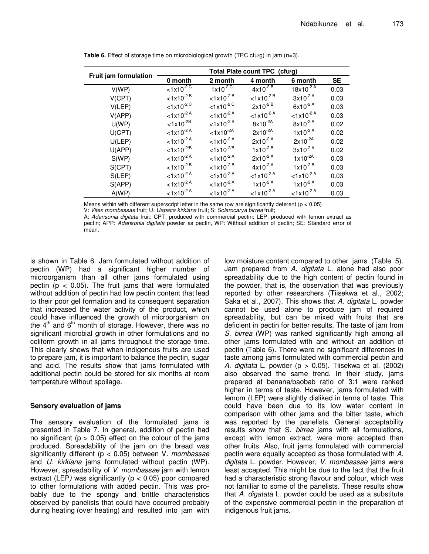|                              | Total Plate count TPC (cfu/g)     |                                   |                                   |                                   |           |  |
|------------------------------|-----------------------------------|-----------------------------------|-----------------------------------|-----------------------------------|-----------|--|
| <b>Fruit jam formulation</b> | 0 month                           | 2 month                           | 4 month                           | 6 month                           | <b>SE</b> |  |
| V(WP)                        | $1 \times 10^{-20}$               | $1x10^{2}$                        | $4x10^{-2}$ <sup>B</sup>          | $18x10^{-2}$ <sup>A</sup>         | 0.03      |  |
| V(CPT)                       | $< 1x10^{-2}$ <sup>B</sup>        | $< 1 \times 10^{-2}$ <sup>B</sup> | $< 1x10^{-2}$ <sup>B</sup>        | $3x10^{-2}$ <sup>A</sup>          | 0.03      |  |
| V(LEP)                       | $< 1x10^{-2}$                     | $< 1 \times 10^{-2}$              | $2x10^{-2}$ <sup>B</sup>          | $6x10^{-2}$ <sup>A</sup>          | 0.03      |  |
| V(APP)                       | $< 1x10^{-2}$ <sup>A</sup>        | $< 1 \times 10^{-2}$ <sup>A</sup> | $< 1x10^{-2}$ <sup>A</sup>        | $< 1x10^{-2}$ <sup>A</sup>        | 0.03      |  |
| U(WP)                        | $< 1x10^{-2B}$                    | $< 1 \times 10^{-2}$ <sup>B</sup> | $8x10^{-2A}$                      | $8x10^{-2}$ <sup>A</sup>          | 0.02      |  |
| U(CPT)                       | $< 1 \times 10^{-2}$ <sup>A</sup> | $< 1x10^{-2A}$                    | $2x10^{-2A}$                      | $1x10^{-2}$ <sup>A</sup>          | 0.02      |  |
| U(LEP)                       | $< 1x10^{-2}$ <sup>A</sup>        | $< 1 \times 10^{-2}$ <sup>A</sup> | $2x10^{-2}$ <sup>A</sup>          | $2x10^{-2A}$                      | 0.02      |  |
| $U$ (APP)                    | $< 1 \times 10^{-2/B}$            | $< 1 \times 10^{-2/B}$            | $1x10^{-2B}$                      | $3x10^{-2}$ <sup>A</sup>          | 0.02      |  |
| S(WP)                        | $< 1x10^{-2}$ <sup>A</sup>        | $< 1x10^{-2}$ <sup>A</sup>        | $2x10^{-2}$ <sup>A</sup>          | $1x10^{-2A}$                      | 0.03      |  |
| S(CPT)                       | $< 1x10^{-2}$ <sup>B</sup>        | $< 1 \times 10^{-2}$ <sup>B</sup> | $4x10^{-2}$ <sup>A</sup>          | $1x10^{-2B}$                      | 0.03      |  |
| S(LEP)                       | $< 1x10^{-2}$ <sup>A</sup>        | $< 1x10^{-2}$ <sup>A</sup>        | $< 1x10^{-2}$ <sup>A</sup>        | $< 1x10^{-2}$ <sup>A</sup>        | 0.03      |  |
| S(APP)                       | $< 1x10^{-2}$ <sup>A</sup>        | $< 1 \times 10^{-2}$ <sup>A</sup> | $1x10^{-2}$ <sup>A</sup>          | $1x10^{-2}$ <sup>A</sup>          | 0.03      |  |
| A(WP)                        | $< 1 \times 10^{-2}$ <sup>A</sup> | $< 1x10^{-2}$ <sup>A</sup>        | $< 1 \times 10^{-2}$ <sup>A</sup> | $< 1 \times 10^{-2}$ <sup>A</sup> | 0.03      |  |

**Table 6.** Effect of storage time on microbiological growth (TPC cfu/g) in jam (n=3).

Means within with different superscript letter in the same row are significantly deferent ( $p < 0.05$ )

V: Vitex mombassae fruit; U: Uapaca kirkiana fruit; S: Sclerocarya birrea fruit;

A: Adansonia digitata fruit; CPT: produced with commercial pectin; LEP: produced with lemon extract as pectin; APP: Adansonia digitata powder as pectin, WP: Without addition of pectin; SE: Standard error of mean.

is shown in Table 6. Jam formulated without addition of pectin (WP) had a significant higher number of microorganism than all other jams formulated using pectin ( $p < 0.05$ ). The fruit jams that were formulated without addition of pectin had low pectin content that lead to their poor gel formation and its consequent separation that increased the water activity of the product, which could have influenced the growth of microorganism on the  $4<sup>th</sup>$  and  $6<sup>th</sup>$  month of storage. However, there was no significant microbial growth in other formulations and no coliform growth in all jams throughout the storage time. This clearly shows that when indigenous fruits are used to prepare jam, it is important to balance the pectin, sugar and acid. The results show that jams formulated with additional pectin could be stored for six months at room temperature without spoilage.

# **Sensory evaluation of jams**

The sensory evaluation of the formulated jams is presented in Table 7. In general, addition of pectin had no significant ( $p > 0.05$ ) effect on the colour of the jams produced. Spreadability of the jam on the bread was significantly different ( $p < 0.05$ ) between V. mombassae and U. kirkiana jams formulated without pectin (WP). However, spreadability of V. mombassae jam with lemon extract (LEP) was significantly ( $p < 0.05$ ) poor compared to other formulations with added pectin. This was probably due to the spongy and brittle characteristics observed by panelists that could have occurred probably during heating (over heating) and resulted into jam with

low moisture content compared to other jams (Table 5). Jam prepared from A. digitata L. alone had also poor spreadability due to the high content of pectin found in the powder, that is, the observation that was previously reported by other researchers (Tiisekwa et al., 2002; Saka et al., 2007). This shows that A. digitata L. powder cannot be used alone to produce jam of required spreadability, but can be mixed with fruits that are deficient in pectin for better results. The taste of jam from S. birrea (WP) was ranked significantly high among all other jams formulated with and without an addition of pectin (Table 6). There were no significant differences in taste among jams formulated with commercial pectin and A. digitata L. powder  $(p > 0.05)$ . Tiisekwa et al. (2002) also observed the same trend. In their study, jams prepared at banana/baobab ratio of 3:1 were ranked higher in terms of taste. However, jams formulated with lemom (LEP) were slightly disliked in terms of taste. This could have been due to its low water content in comparison with other jams and the bitter taste, which was reported by the panelists. General acceptability results show that S. birrea jams with all formulations, except with lemon extract, were more accepted than other fruits. Also, fruit jams formulated with commercial pectin were equally accepted as those formulated with A. digitata L. powder. However, V. mombassae jams were least accepted. This might be due to the fact that the fruit had a characteristic strong flavour and colour, which was not familiar to some of the panelists. These results show that A. digatata L. powder could be used as a substitute of the expensive commercial pectin in the preparation of indigenous fruit jams.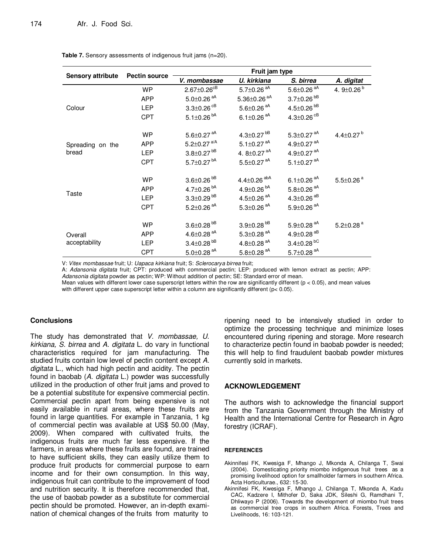**Table 7.** Sensory assessments of indigenous fruit jams (n=20).

|                          | <b>Pectin source</b> | Fruit jam type                |                               |                              |                             |  |  |
|--------------------------|----------------------|-------------------------------|-------------------------------|------------------------------|-----------------------------|--|--|
| <b>Sensory attribute</b> |                      | V. mombassae                  | U. kirkiana                   | S. birrea                    | A. digitat                  |  |  |
|                          | <b>WP</b>            | $2.67 \pm 0.26$ <sup>cB</sup> | 5.7 $\pm$ 0.26 <sup>aA</sup>  | $5.6 \pm 0.26$ <sup>aA</sup> | 4. $9\pm0.26^{b}$           |  |  |
|                          | <b>APP</b>           | $5.0 \pm 0.26$ <sup>aA</sup>  | $5.36 \pm 0.26$ <sup>aA</sup> | $3.7 \pm 0.26^{bB}$          |                             |  |  |
| Colour                   | <b>LEP</b>           | $3.3 \pm 0.26$ <sup>cB</sup>  | $5.6 \pm 0.26$ <sup>aA</sup>  | 4.5 $\pm$ 0.26 $^{bB}$       |                             |  |  |
|                          | <b>CPT</b>           | 5.1 $\pm$ 0.26 <sup>bA</sup>  | 6.1 $\pm$ 0.26 <sup>aA</sup>  | 4.3 $\pm$ 0.26 $^{CB}$       |                             |  |  |
|                          | WP                   | $5.6 \pm 0.27$ <sup>aA</sup>  | 4.3 $\pm$ 0.27 <sup>bB</sup>  | 5.3 $\pm$ 0.27 $^{aA}$       | 4.4 $\pm$ 0.27 $^{\circ}$   |  |  |
| Spreading on the         | <b>APP</b>           | 5.2 $\pm$ 0.27 $^{a/A}$       | 5.1 $\pm$ 0.27 <sup>aA</sup>  | 4.9 $\pm$ 0.27 $^{aA}$       |                             |  |  |
| bread                    | <b>LEP</b>           | $3.8 \pm 0.27$ <sup>bB</sup>  | 4. $8\pm0.27$ <sup>aA</sup>   | 4.9 $\pm$ 0.27 $^{aA}$       |                             |  |  |
|                          | <b>CPT</b>           | 5.7 $\pm$ 0.27 $^{bA}$        | $5.5 \pm 0.27$ <sup>aA</sup>  | 5.1 $\pm$ 0.27 $^{aA}$       |                             |  |  |
|                          | <b>WP</b>            | $3.6 \pm 0.26$ <sup>bB</sup>  | 4.4 $\pm$ 0.26 <sup>abA</sup> | 6.1 $\pm$ 0.26 <sup>aA</sup> | $5.5 \pm 0.26$ <sup>a</sup> |  |  |
|                          | <b>APP</b>           | 4.7 $\pm$ 0.26 <sup>bA</sup>  | 4.9 $\pm$ 0.26 $^{bA}$        | $5.8 \pm 0.26$ <sup>aA</sup> |                             |  |  |
| Taste                    | <b>LEP</b>           | $3.3 \pm 0.29$ <sup>bB</sup>  | 4.5 $\pm$ 0.26 $^{aA}$        | 4.3 $\pm$ 0.26 $^{AB}$       |                             |  |  |
|                          | <b>CPT</b>           | 5.2 $\pm$ 0.26 <sup>aA</sup>  | $5.3 \pm 0.26$ <sup>aA</sup>  | $5.9 \pm 0.26$ <sup>aA</sup> |                             |  |  |
|                          | WP                   | $3.6 \pm 0.28$ <sup>bB</sup>  | $3.9 \pm 0.28$ <sup>bB</sup>  | $5.9 \pm 0.28$ <sup>aA</sup> | $5.2 \pm 0.28$ <sup>a</sup> |  |  |
| Overall<br>acceptability | <b>APP</b>           | 4.6 $\pm$ 0.28 <sup>aA</sup>  | $5.3 \pm 0.28$ <sup>aA</sup>  | 4.9 $\pm$ 0.28 $^{AB}$       |                             |  |  |
|                          | <b>LEP</b>           | $3.4 \pm 0.28$ <sup>bB</sup>  | 4.8 $\pm$ 0.28 <sup>aA</sup>  | $3.4 \pm 0.28$ <sup>bC</sup> |                             |  |  |
|                          | <b>CPT</b>           | $5.0 \pm 0.28$ <sup>aA</sup>  | $5.8 \pm 0.28$ <sup>aA</sup>  | 5.7 $\pm$ 0.28 $^{aA}$       |                             |  |  |

V: Vitex mombassae fruit; U: Uapaca kirkiana fruit; S: Sclerocarya birrea fruit;

A: Adansonia digitata fruit; CPT: produced with commercial pectin; LEP: produced with lemon extract as pectin; APP: Adansonia digitata powder as pectin; WP: Without addition of pectin; SE: Standard error of mean.

Mean values with different lower case superscript letters within the row are significantly different ( $p < 0.05$ ), and mean values with different upper case superscript letter within a column are significantly different ( $p < 0.05$ ).

# **Conclusions**

The study has demonstrated that V. mombassae, U. kirkiana, S. birrea and A. digitata L. do vary in functional characteristics required for jam manufacturing. The studied fruits contain low level of pectin content except A. digitata L., which had high pectin and acidity. The pectin found in baobab (A. digitata L.) powder was successfully utilized in the production of other fruit jams and proved to be a potential substitute for expensive commercial pectin. Commercial pectin apart from being expensive is not easily available in rural areas, where these fruits are found in large quantities. For example in Tanzania, 1 kg of commercial pectin was available at US\$ 50.00 (May, 2009). When compared with cultivated fruits, the indigenous fruits are much far less expensive. If the farmers, in areas where these fruits are found, are trained to have sufficient skills, they can easily utilize them to produce fruit products for commercial purpose to earn income and for their own consumption. In this way, indigenous fruit can contribute to the improvement of food and nutrition security. It is therefore recommended that, the use of baobab powder as a substitute for commercial pectin should be promoted. However, an in-depth examination of chemical changes of the fruits from maturity to

ripening need to be intensively studied in order to optimize the processing technique and minimize loses encountered during ripening and storage. More research to characterize pectin found in baobab powder is needed; this will help to find fraudulent baobab powder mixtures currently sold in markets.

# **ACKNOWLEDGEMENT**

The authors wish to acknowledge the financial support from the Tanzania Government through the Ministry of Health and the International Centre for Research in Agro forestry (ICRAF).

## **REFERENCES**

- Akinnifesi FK, Kwesiga F, Mhango J, Mkonda A, Chilanga T, Swai (2004). Domesticating priority miombo indigenous fruit trees as a promising livelihood option for smallholder farmers in southern Africa. Acta Horticulturae., 632: 15-30.
- Akinnifesi FK, Kwesiga F, Mhango J, Chilanga T, Mkonda A, Kadu CAC, Kadzere I, Mithofer D, Saka JDK, Sileshi G, Ramdhani T, Dhliwayo P (2006). Towards the development of miombo fruit trees as commercial tree crops in southern Africa. Forests, Trees and Livelihoods, 16: 103-121.